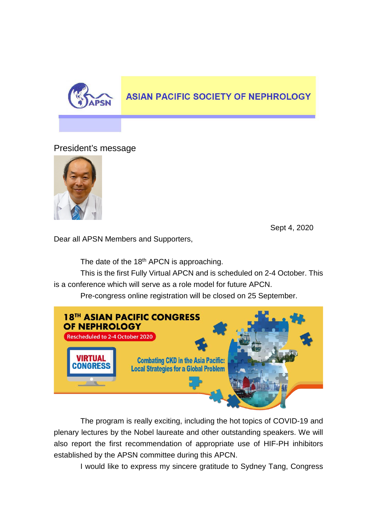

## **ASIAN PACIFIC SOCIETY OF NEPHROLOGY**

## President's message



Sept 4, 2020

Dear all APSN Members and Supporters,

The date of the 18<sup>th</sup> APCN is approaching.

This is the first Fully Virtual APCN and is scheduled on 2-4 October. This is a conference which will serve as a role model for future APCN.

Pre-congress online registration will be closed on 25 September.



The program is really exciting, including the hot topics of COVID-19 and plenary lectures by the Nobel laureate and other outstanding speakers. We will also report the first recommendation of appropriate use of HIF-PH inhibitors established by the APSN committee during this APCN.

I would like to express my sincere gratitude to Sydney Tang, Congress